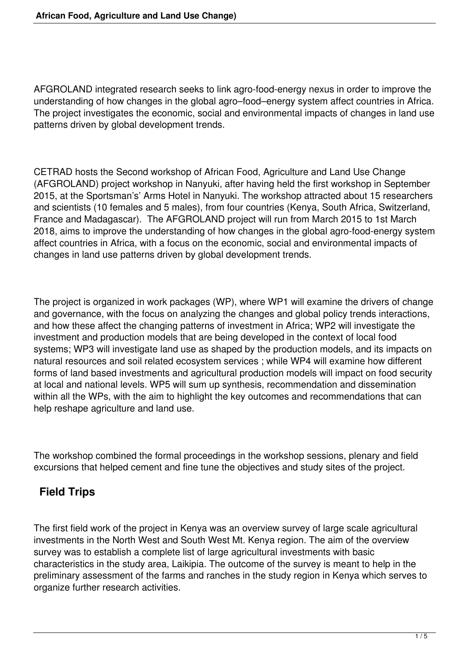AFGROLAND integrated research seeks to link agro-food-energy nexus in order to improve the understanding of how changes in the global agro–food–energy system affect countries in Africa. The project investigates the economic, social and environmental impacts of changes in land use patterns driven by global development trends.

CETRAD hosts the Second workshop of African Food, Agriculture and Land Use Change (AFGROLAND) project workshop in Nanyuki, after having held the first workshop in September 2015, at the Sportsman's' Arms Hotel in Nanyuki. The workshop attracted about 15 researchers and scientists (10 females and 5 males), from four countries (Kenya, South Africa, Switzerland, France and Madagascar). The AFGROLAND project will run from March 2015 to 1st March 2018, aims to improve the understanding of how changes in the global agro-food-energy system affect countries in Africa, with a focus on the economic, social and environmental impacts of changes in land use patterns driven by global development trends.

The project is organized in work packages (WP), where WP1 will examine the drivers of change and governance, with the focus on analyzing the changes and global policy trends interactions, and how these affect the changing patterns of investment in Africa; WP2 will investigate the investment and production models that are being developed in the context of local food systems; WP3 will investigate land use as shaped by the production models, and its impacts on natural resources and soil related ecosystem services ; while WP4 will examine how different forms of land based investments and agricultural production models will impact on food security at local and national levels. WP5 will sum up synthesis, recommendation and dissemination within all the WPs, with the aim to highlight the key outcomes and recommendations that can help reshape agriculture and land use.

The workshop combined the formal proceedings in the workshop sessions, plenary and field excursions that helped cement and fine tune the objectives and study sites of the project.

# **Field Trips**

The first field work of the project in Kenya was an overview survey of large scale agricultural investments in the North West and South West Mt. Kenya region. The aim of the overview survey was to establish a complete list of large agricultural investments with basic characteristics in the study area, Laikipia. The outcome of the survey is meant to help in the preliminary assessment of the farms and ranches in the study region in Kenya which serves to organize further research activities.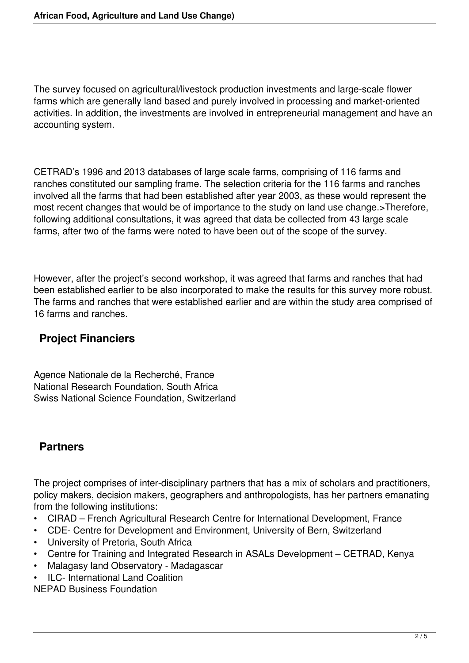The survey focused on agricultural/livestock production investments and large-scale flower farms which are generally land based and purely involved in processing and market-oriented activities. In addition, the investments are involved in entrepreneurial management and have an accounting system.

CETRAD's 1996 and 2013 databases of large scale farms, comprising of 116 farms and ranches constituted our sampling frame. The selection criteria for the 116 farms and ranches involved all the farms that had been established after year 2003, as these would represent the most recent changes that would be of importance to the study on land use change.>Therefore, following additional consultations, it was agreed that data be collected from 43 large scale farms, after two of the farms were noted to have been out of the scope of the survey.

However, after the project's second workshop, it was agreed that farms and ranches that had been established earlier to be also incorporated to make the results for this survey more robust. The farms and ranches that were established earlier and are within the study area comprised of 16 farms and ranches.

## **Project Financiers**

Agence Nationale de la Recherché, France National Research Foundation, South Africa Swiss National Science Foundation, Switzerland

## **Partners**

The project comprises of inter-disciplinary partners that has a mix of scholars and practitioners, policy makers, decision makers, geographers and anthropologists, has her partners emanating from the following institutions:

- CIRAD French Agricultural Research Centre for International Development, France
- CDE- Centre for Development and Environment, University of Bern, Switzerland
- University of Pretoria, South Africa
- Centre for Training and Integrated Research in ASALs Development CETRAD, Kenya
- Malagasy land Observatory Madagascar
- ILC- International Land Coalition

NEPAD Business Foundation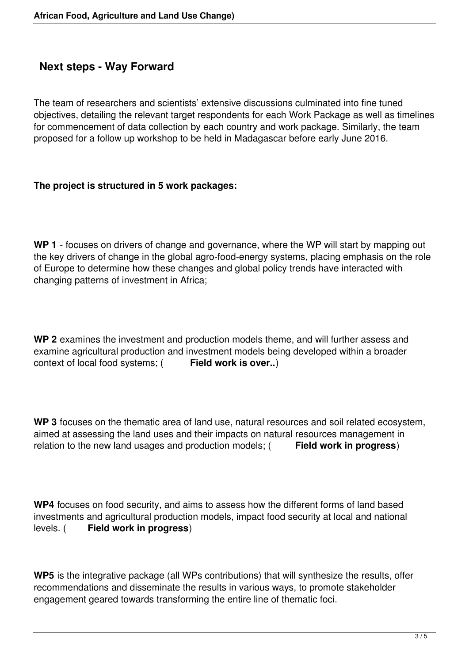#### **Next steps - Way Forward**

The team of researchers and scientists' extensive discussions culminated into fine tuned objectives, detailing the relevant target respondents for each Work Package as well as timelines for commencement of data collection by each country and work package. Similarly, the team proposed for a follow up workshop to be held in Madagascar before early June 2016.

#### **The project is structured in 5 work packages:**

**WP 1** - focuses on drivers of change and governance, where the WP will start by mapping out the key drivers of change in the global agro-food-energy systems, placing emphasis on the role of Europe to determine how these changes and global policy trends have interacted with changing patterns of investment in Africa;

**WP 2** examines the investment and production models theme, and will further assess and examine agricultural production and investment models being developed within a broader<br>context of local food systems: (
Field work is over..) context of local food systems; (

**WP 3** focuses on the thematic area of land use, natural resources and soil related ecosystem, aimed at assessing the land uses and their impacts on natural resources management in relation to the new land usages and production models; (**Field work in progress**)

**WP4** focuses on food security, and aims to assess how the different forms of land based investments and agricultural production models, impact food security at local and national levels. ( **Field work in progress**)

**WP5** is the integrative package (all WPs contributions) that will synthesize the results, offer recommendations and disseminate the results in various ways, to promote stakeholder engagement geared towards transforming the entire line of thematic foci.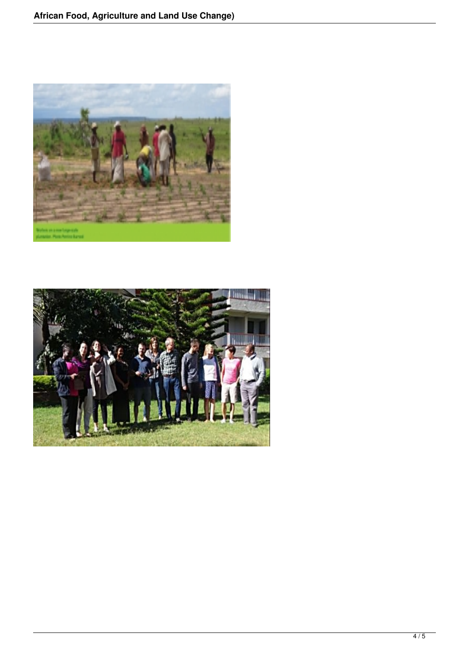